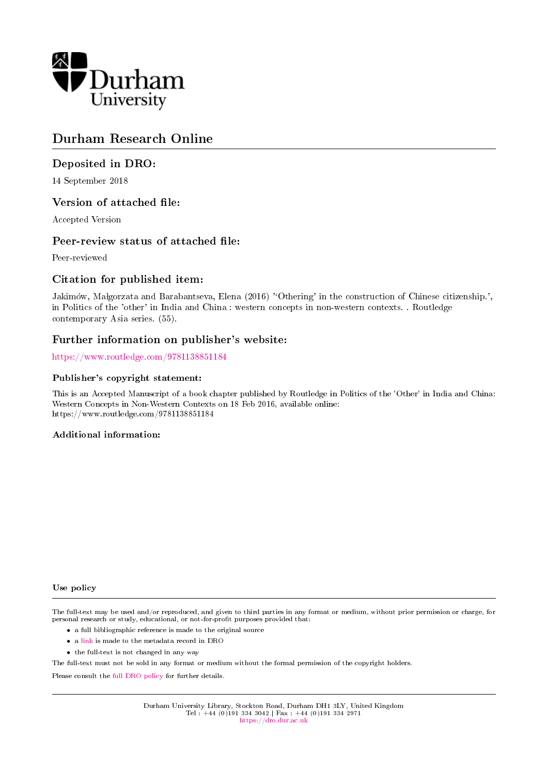

# Durham Research Online

## Deposited in DRO:

14 September 2018

## Version of attached file:

Accepted Version

## Peer-review status of attached file:

Peer-reviewed

## Citation for published item:

Jakimów, Małgorzata and Barabantseva, Elena (2016) "Othering' in the construction of Chinese citizenship.', in Politics of the 'other' in India and China : western concepts in non-western contexts. . Routledge contemporary Asia series. (55).

### Further information on publisher's website:

<https://www.routledge.com/9781138851184>

### Publisher's copyright statement:

This is an Accepted Manuscript of a book chapter published by Routledge in Politics of the 'Other' in India and China: Western Concepts in Non-Western Contexts on 18 Feb 2016, available online: https://www.routledge.com/9781138851184

#### Additional information:

#### Use policy

The full-text may be used and/or reproduced, and given to third parties in any format or medium, without prior permission or charge, for personal research or study, educational, or not-for-profit purposes provided that:

- a full bibliographic reference is made to the original source
- a [link](http://dro.dur.ac.uk/26195/) is made to the metadata record in DRO
- the full-text is not changed in any way

The full-text must not be sold in any format or medium without the formal permission of the copyright holders.

Please consult the [full DRO policy](https://dro.dur.ac.uk/policies/usepolicy.pdf) for further details.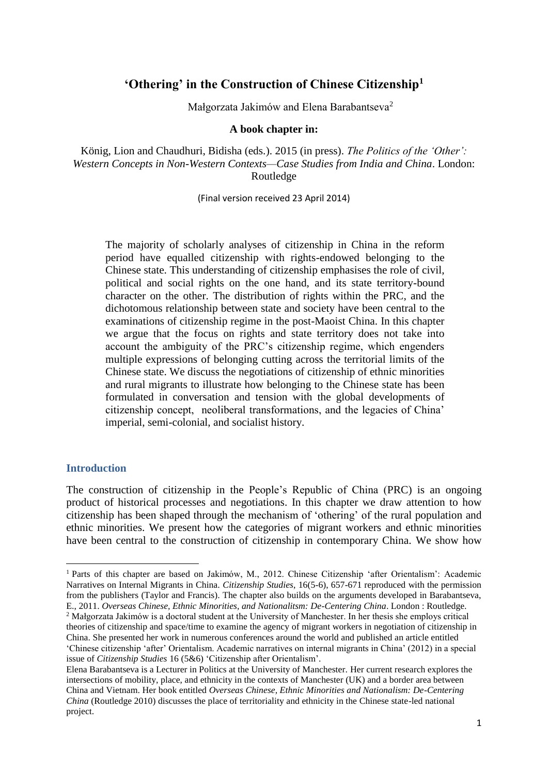## **'Othering' in the Construction of Chinese Citizenship<sup>1</sup>**

Małgorzata Jakimów and Elena Barabantseva<sup>2</sup>

### **A book chapter in:**

König, Lion and Chaudhuri, Bidisha (eds.). 2015 (in press). *The Politics of the 'Other': Western Concepts in Non-Western Contexts—Case Studies from India and China*. London: Routledge

(Final version received 23 April 2014)

The majority of scholarly analyses of citizenship in China in the reform period have equalled citizenship with rights-endowed belonging to the Chinese state. This understanding of citizenship emphasises the role of civil, political and social rights on the one hand, and its state territory-bound character on the other. The distribution of rights within the PRC, and the dichotomous relationship between state and society have been central to the examinations of citizenship regime in the post-Maoist China. In this chapter we argue that the focus on rights and state territory does not take into account the ambiguity of the PRC's citizenship regime, which engenders multiple expressions of belonging cutting across the territorial limits of the Chinese state. We discuss the negotiations of citizenship of ethnic minorities and rural migrants to illustrate how belonging to the Chinese state has been formulated in conversation and tension with the global developments of citizenship concept, neoliberal transformations, and the legacies of China' imperial, semi-colonial, and socialist history.

## **Introduction**

**.** 

The construction of citizenship in the People's Republic of China (PRC) is an ongoing product of historical processes and negotiations. In this chapter we draw attention to how citizenship has been shaped through the mechanism of 'othering' of the rural population and ethnic minorities. We present how the categories of migrant workers and ethnic minorities have been central to the construction of citizenship in contemporary China. We show how

issue of *Citizenship Studies* 16 (5&6) 'Citizenship after Orientalism'.

<sup>1</sup> Parts of this chapter are based on Jakimów, M., 2012. Chinese Citizenship 'after Orientalism': Academic Narratives on Internal Migrants in China. *Citizenship Studies*, 16(5-6), 657-671 reproduced with the permission from the publishers (Taylor and Francis). The chapter also builds on the arguments developed in Barabantseva, E., 2011. *Overseas Chinese, Ethnic Minorities, and Nationalitsm: De-Centering China*. London : Routledge. <sup>2</sup> Małgorzata Jakimów is a doctoral student at the University of Manchester. In her thesis she employs critical theories of citizenship and space/time to examine the agency of migrant workers in negotiation of citizenship in China. She presented her work in numerous conferences around the world and published an article entitled 'Chinese citizenship 'after' Orientalism. Academic narratives on internal migrants in China' (2012) in a special

Elena Barabantseva is a Lecturer in Politics at the University of Manchester. Her current research explores the intersections of mobility, place, and ethnicity in the contexts of Manchester (UK) and a border area between China and Vietnam. Her book entitled *Overseas Chinese, Ethnic Minorities and Nationalism: De-Centering China* (Routledge 2010) discusses the place of territoriality and ethnicity in the Chinese state-led national project.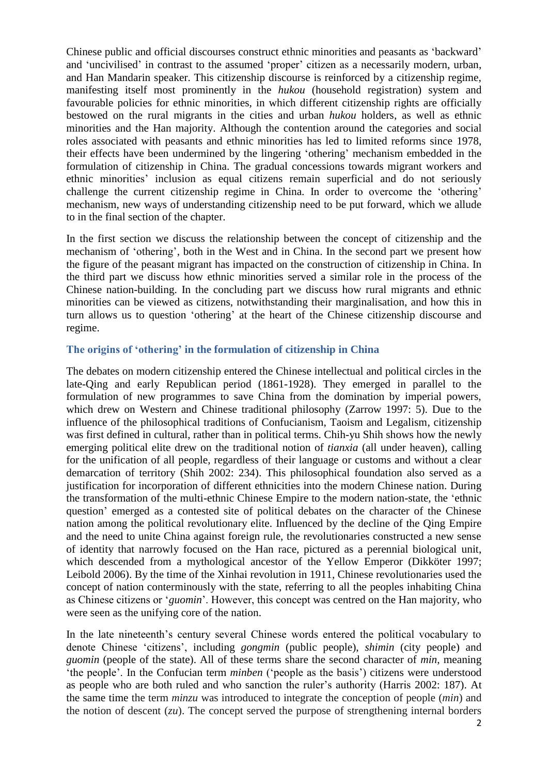Chinese public and official discourses construct ethnic minorities and peasants as 'backward' and 'uncivilised' in contrast to the assumed 'proper' citizen as a necessarily modern, urban, and Han Mandarin speaker. This citizenship discourse is reinforced by a citizenship regime, manifesting itself most prominently in the *hukou* (household registration) system and favourable policies for ethnic minorities, in which different citizenship rights are officially bestowed on the rural migrants in the cities and urban *hukou* holders, as well as ethnic minorities and the Han majority. Although the contention around the categories and social roles associated with peasants and ethnic minorities has led to limited reforms since 1978, their effects have been undermined by the lingering 'othering' mechanism embedded in the formulation of citizenship in China. The gradual concessions towards migrant workers and ethnic minorities' inclusion as equal citizens remain superficial and do not seriously challenge the current citizenship regime in China. In order to overcome the 'othering' mechanism, new ways of understanding citizenship need to be put forward, which we allude to in the final section of the chapter.

In the first section we discuss the relationship between the concept of citizenship and the mechanism of 'othering', both in the West and in China. In the second part we present how the figure of the peasant migrant has impacted on the construction of citizenship in China. In the third part we discuss how ethnic minorities served a similar role in the process of the Chinese nation-building. In the concluding part we discuss how rural migrants and ethnic minorities can be viewed as citizens, notwithstanding their marginalisation, and how this in turn allows us to question 'othering' at the heart of the Chinese citizenship discourse and regime.

## **The origins of 'othering' in the formulation of citizenship in China**

The debates on modern citizenship entered the Chinese intellectual and political circles in the late-Qing and early Republican period (1861-1928). They emerged in parallel to the formulation of new programmes to save China from the domination by imperial powers, which drew on Western and Chinese traditional philosophy (Zarrow 1997: 5). Due to the influence of the philosophical traditions of Confucianism, Taoism and Legalism, citizenship was first defined in cultural, rather than in political terms. Chih-yu Shih shows how the newly emerging political elite drew on the traditional notion of *tianxia* (all under heaven), calling for the unification of all people, regardless of their language or customs and without a clear demarcation of territory (Shih 2002: 234). This philosophical foundation also served as a justification for incorporation of different ethnicities into the modern Chinese nation. During the transformation of the multi-ethnic Chinese Empire to the modern nation-state, the 'ethnic question' emerged as a contested site of political debates on the character of the Chinese nation among the political revolutionary elite. Influenced by the decline of the Qing Empire and the need to unite China against foreign rule, the revolutionaries constructed a new sense of identity that narrowly focused on the Han race, pictured as a perennial biological unit, which descended from a mythological ancestor of the Yellow Emperor (Dikköter 1997; Leibold 2006). By the time of the Xinhai revolution in 1911, Chinese revolutionaries used the concept of nation conterminously with the state, referring to all the peoples inhabiting China as Chinese citizens or '*guomin*'. However, this concept was centred on the Han majority, who were seen as the unifying core of the nation.

In the late nineteenth's century several Chinese words entered the political vocabulary to denote Chinese 'citizens', including *gongmin* (public people), *shimin* (city people) and *guomin* (people of the state). All of these terms share the second character of *min*, meaning 'the people'. In the Confucian term *minben* ('people as the basis') citizens were understood as people who are both ruled and who sanction the ruler's authority (Harris 2002: 187). At the same time the term *minzu* was introduced to integrate the conception of people (*min*) and the notion of descent  $(zu)$ . The concept served the purpose of strengthening internal borders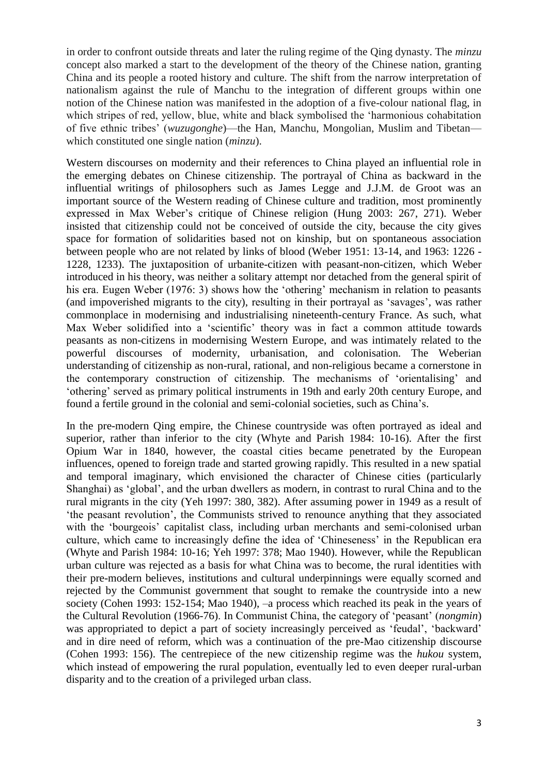in order to confront outside threats and later the ruling regime of the Qing dynasty. The *minzu* concept also marked a start to the development of the theory of the Chinese nation, granting China and its people a rooted history and culture. The shift from the narrow interpretation of nationalism against the rule of Manchu to the integration of different groups within one notion of the Chinese nation was manifested in the adoption of a five-colour national flag, in which stripes of red, yellow, blue, white and black symbolised the 'harmonious cohabitation of five ethnic tribes' (*wuzugonghe*)—the Han, Manchu, Mongolian, Muslim and Tibetan which constituted one single nation (*minzu*).

Western discourses on modernity and their references to China played an influential role in the emerging debates on Chinese citizenship. The portrayal of China as backward in the influential writings of philosophers such as James Legge and J.J.M. de Groot was an important source of the Western reading of Chinese culture and tradition, most prominently expressed in Max Weber's critique of Chinese religion (Hung 2003: 267, 271). Weber insisted that citizenship could not be conceived of outside the city, because the city gives space for formation of solidarities based not on kinship, but on spontaneous association between people who are not related by links of blood (Weber 1951: 13-14, and 1963: 1226 - 1228, 1233). The juxtaposition of urbanite-citizen with peasant-non-citizen, which Weber introduced in his theory, was neither a solitary attempt nor detached from the general spirit of his era. Eugen Weber (1976: 3) shows how the 'othering' mechanism in relation to peasants (and impoverished migrants to the city), resulting in their portrayal as 'savages', was rather commonplace in modernising and industrialising nineteenth-century France. As such, what Max Weber solidified into a 'scientific' theory was in fact a common attitude towards peasants as non-citizens in modernising Western Europe, and was intimately related to the powerful discourses of modernity, urbanisation, and colonisation. The Weberian understanding of citizenship as non-rural, rational, and non-religious became a cornerstone in the contemporary construction of citizenship. The mechanisms of 'orientalising' and 'othering' served as primary political instruments in 19th and early 20th century Europe, and found a fertile ground in the colonial and semi-colonial societies, such as China's.

In the pre-modern Qing empire, the Chinese countryside was often portrayed as ideal and superior, rather than inferior to the city (Whyte and Parish 1984: 10-16). After the first Opium War in 1840, however, the coastal cities became penetrated by the European influences, opened to foreign trade and started growing rapidly. This resulted in a new spatial and temporal imaginary, which envisioned the character of Chinese cities (particularly Shanghai) as 'global', and the urban dwellers as modern, in contrast to rural China and to the rural migrants in the city (Yeh 1997: 380, 382). After assuming power in 1949 as a result of 'the peasant revolution', the Communists strived to renounce anything that they associated with the 'bourgeois' capitalist class, including urban merchants and semi-colonised urban culture, which came to increasingly define the idea of 'Chineseness' in the Republican era (Whyte and Parish 1984: 10-16; Yeh 1997: 378; Mao 1940). However, while the Republican urban culture was rejected as a basis for what China was to become, the rural identities with their pre-modern believes, institutions and cultural underpinnings were equally scorned and rejected by the Communist government that sought to remake the countryside into a new society (Cohen 1993: 152-154; Mao 1940), –a process which reached its peak in the years of the Cultural Revolution (1966-76). In Communist China, the category of 'peasant' (*nongmin*) was appropriated to depict a part of society increasingly perceived as 'feudal', 'backward' and in dire need of reform, which was a continuation of the pre-Mao citizenship discourse (Cohen 1993: 156). The centrepiece of the new citizenship regime was the *hukou* system, which instead of empowering the rural population, eventually led to even deeper rural-urban disparity and to the creation of a privileged urban class.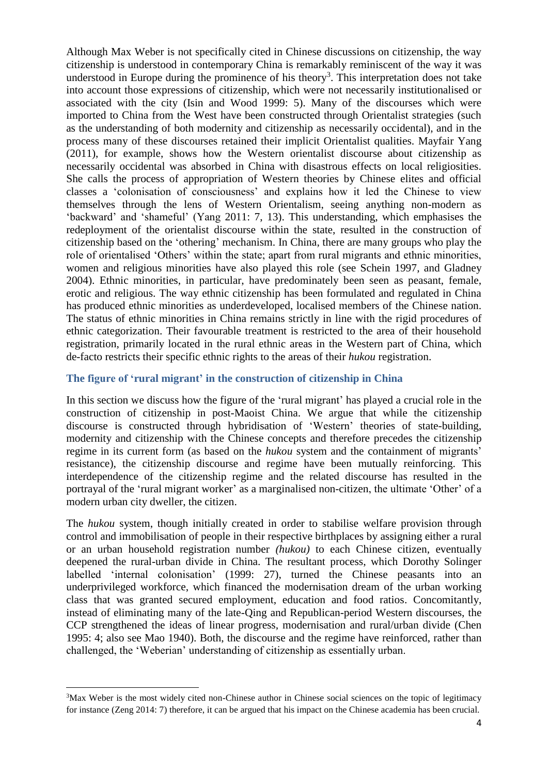Although Max Weber is not specifically cited in Chinese discussions on citizenship, the way citizenship is understood in contemporary China is remarkably reminiscent of the way it was understood in Europe during the prominence of his theory<sup>3</sup>. This interpretation does not take into account those expressions of citizenship, which were not necessarily institutionalised or associated with the city (Isin and Wood 1999: 5). Many of the discourses which were imported to China from the West have been constructed through Orientalist strategies (such as the understanding of both modernity and citizenship as necessarily occidental), and in the process many of these discourses retained their implicit Orientalist qualities. Mayfair Yang (2011), for example, shows how the Western orientalist discourse about citizenship as necessarily occidental was absorbed in China with disastrous effects on local religiosities. She calls the process of appropriation of Western theories by Chinese elites and official classes a 'colonisation of consciousness' and explains how it led the Chinese to view themselves through the lens of Western Orientalism, seeing anything non-modern as 'backward' and 'shameful' (Yang 2011: 7, 13). This understanding, which emphasises the redeployment of the orientalist discourse within the state, resulted in the construction of citizenship based on the 'othering' mechanism. In China, there are many groups who play the role of orientalised 'Others' within the state; apart from rural migrants and ethnic minorities, women and religious minorities have also played this role (see Schein 1997, and Gladney 2004). Ethnic minorities, in particular, have predominately been seen as peasant, female, erotic and religious. The way ethnic citizenship has been formulated and regulated in China has produced ethnic minorities as underdeveloped, localised members of the Chinese nation. The status of ethnic minorities in China remains strictly in line with the rigid procedures of ethnic categorization. Their favourable treatment is restricted to the area of their household registration, primarily located in the rural ethnic areas in the Western part of China, which de-facto restricts their specific ethnic rights to the areas of their *hukou* registration.

## **The figure of 'rural migrant' in the construction of citizenship in China**

In this section we discuss how the figure of the 'rural migrant' has played a crucial role in the construction of citizenship in post-Maoist China. We argue that while the citizenship discourse is constructed through hybridisation of 'Western' theories of state-building, modernity and citizenship with the Chinese concepts and therefore precedes the citizenship regime in its current form (as based on the *hukou* system and the containment of migrants' resistance), the citizenship discourse and regime have been mutually reinforcing. This interdependence of the citizenship regime and the related discourse has resulted in the portrayal of the 'rural migrant worker' as a marginalised non-citizen, the ultimate 'Other' of a modern urban city dweller, the citizen.

The *hukou* system, though initially created in order to stabilise welfare provision through control and immobilisation of people in their respective birthplaces by assigning either a rural or an urban household registration number *(hukou)* to each Chinese citizen, eventually deepened the rural-urban divide in China. The resultant process, which Dorothy Solinger labelled 'internal colonisation' (1999: 27), turned the Chinese peasants into an underprivileged workforce, which financed the modernisation dream of the urban working class that was granted secured employment, education and food ratios. Concomitantly, instead of eliminating many of the late-Qing and Republican-period Western discourses, the CCP strengthened the ideas of linear progress, modernisation and rural/urban divide (Chen 1995: 4; also see Mao 1940). Both, the discourse and the regime have reinforced, rather than challenged, the 'Weberian' understanding of citizenship as essentially urban.

1

<sup>&</sup>lt;sup>3</sup>Max Weber is the most widely cited non-Chinese author in Chinese social sciences on the topic of legitimacy for instance (Zeng 2014: 7) therefore, it can be argued that his impact on the Chinese academia has been crucial.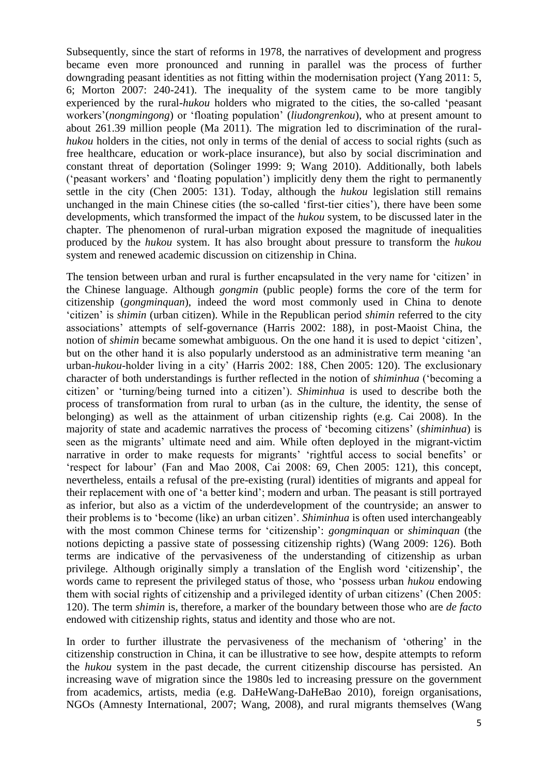Subsequently, since the start of reforms in 1978, the narratives of development and progress became even more pronounced and running in parallel was the process of further downgrading peasant identities as not fitting within the modernisation project (Yang 2011: 5, 6; Morton 2007: 240-241). The inequality of the system came to be more tangibly experienced by the rural-*hukou* holders who migrated to the cities, the so-called 'peasant workers'(*nongmingong*) or 'floating population' (*liudongrenkou*), who at present amount to about 261.39 million people (Ma 2011). The migration led to discrimination of the rural*hukou* holders in the cities, not only in terms of the denial of access to social rights (such as free healthcare, education or work-place insurance), but also by social discrimination and constant threat of deportation (Solinger 1999: 9; Wang 2010). Additionally, both labels ('peasant workers' and 'floating population') implicitly deny them the right to permanently settle in the city (Chen 2005: 131). Today, although the *hukou* legislation still remains unchanged in the main Chinese cities (the so-called 'first-tier cities'), there have been some developments, which transformed the impact of the *hukou* system, to be discussed later in the chapter. The phenomenon of rural-urban migration exposed the magnitude of inequalities produced by the *hukou* system. It has also brought about pressure to transform the *hukou*  system and renewed academic discussion on citizenship in China.

The tension between urban and rural is further encapsulated in the very name for 'citizen' in the Chinese language. Although *gongmin* (public people) forms the core of the term for citizenship (*gongminquan*), indeed the word most commonly used in China to denote 'citizen' is *shimin* (urban citizen). While in the Republican period *shimin* referred to the city associations' attempts of self-governance (Harris 2002: 188), in post-Maoist China, the notion of *shimin* became somewhat ambiguous. On the one hand it is used to depict 'citizen', but on the other hand it is also popularly understood as an administrative term meaning 'an urban*-hukou*-holder living in a city' (Harris 2002: 188, Chen 2005: 120). The exclusionary character of both understandings is further reflected in the notion of *shiminhua* ('becoming a citizen' or 'turning/being turned into a citizen'). *Shiminhua* is used to describe both the process of transformation from rural to urban (as in the culture, the identity, the sense of belonging) as well as the attainment of urban citizenship rights (e.g. Cai 2008). In the majority of state and academic narratives the process of 'becoming citizens' (*shiminhua*) is seen as the migrants' ultimate need and aim. While often deployed in the migrant-victim narrative in order to make requests for migrants' 'rightful access to social benefits' or 'respect for labour' (Fan and Mao 2008, Cai 2008: 69, Chen 2005: 121), this concept, nevertheless, entails a refusal of the pre-existing (rural) identities of migrants and appeal for their replacement with one of 'a better kind'; modern and urban. The peasant is still portrayed as inferior, but also as a victim of the underdevelopment of the countryside; an answer to their problems is to 'become (like) an urban citizen'. *Shiminhua* is often used interchangeably with the most common Chinese terms for 'citizenship': *gongminquan* or *shiminquan* (the notions depicting a passive state of possessing citizenship rights) (Wang 2009: 126). Both terms are indicative of the pervasiveness of the understanding of citizenship as urban privilege. Although originally simply a translation of the English word 'citizenship', the words came to represent the privileged status of those, who 'possess urban *hukou* endowing them with social rights of citizenship and a privileged identity of urban citizens' (Chen 2005: 120). The term *shimin* is, therefore, a marker of the boundary between those who are *de facto* endowed with citizenship rights, status and identity and those who are not.

In order to further illustrate the pervasiveness of the mechanism of 'othering' in the citizenship construction in China, it can be illustrative to see how, despite attempts to reform the *hukou* system in the past decade, the current citizenship discourse has persisted. An increasing wave of migration since the 1980s led to increasing pressure on the government from academics, artists, media (e.g. DaHeWang-DaHeBao 2010), foreign organisations, NGOs (Amnesty International, 2007; Wang, 2008), and rural migrants themselves (Wang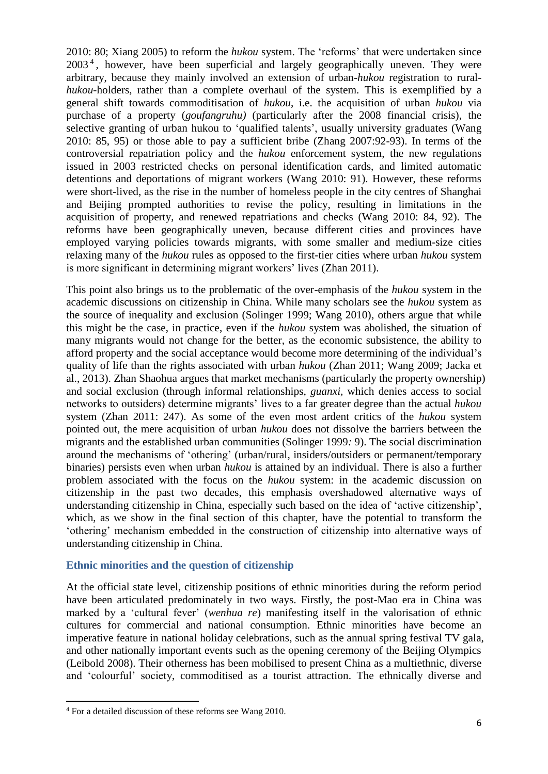2010: 80; Xiang 2005) to reform the *hukou* system. The 'reforms' that were undertaken since 2003<sup>4</sup>, however, have been superficial and largely geographically uneven. They were arbitrary, because they mainly involved an extension of urban-*hukou* registration to rural*hukou-*holders, rather than a complete overhaul of the system. This is exemplified by a general shift towards commoditisation of *hukou*, i.e. the acquisition of urban *hukou* via purchase of a property (*goufangruhu)* (particularly after the 2008 financial crisis), the selective granting of urban hukou to 'qualified talents', usually university graduates (Wang 2010: 85, 95) or those able to pay a sufficient bribe (Zhang 2007:92-93). In terms of the controversial repatriation policy and the *hukou* enforcement system, the new regulations issued in 2003 restricted checks on personal identification cards, and limited automatic detentions and deportations of migrant workers (Wang 2010: 91). However, these reforms were short-lived, as the rise in the number of homeless people in the city centres of Shanghai and Beijing prompted authorities to revise the policy, resulting in limitations in the acquisition of property, and renewed repatriations and checks (Wang 2010: 84, 92). The reforms have been geographically uneven, because different cities and provinces have employed varying policies towards migrants, with some smaller and medium-size cities relaxing many of the *hukou* rules as opposed to the first-tier cities where urban *hukou* system is more significant in determining migrant workers' lives (Zhan 2011).

This point also brings us to the problematic of the over-emphasis of the *hukou* system in the academic discussions on citizenship in China. While many scholars see the *hukou* system as the source of inequality and exclusion (Solinger 1999; Wang 2010), others argue that while this might be the case, in practice, even if the *hukou* system was abolished, the situation of many migrants would not change for the better, as the economic subsistence, the ability to afford property and the social acceptance would become more determining of the individual's quality of life than the rights associated with urban *hukou* (Zhan 2011; Wang 2009; Jacka et al., 2013). Zhan Shaohua argues that market mechanisms (particularly the property ownership) and social exclusion (through informal relationships, *guanxi,* which denies access to social networks to outsiders) determine migrants' lives to a far greater degree than the actual *hukou* system (Zhan 2011: 247). As some of the even most ardent critics of the *hukou* system pointed out, the mere acquisition of urban *hukou* does not dissolve the barriers between the migrants and the established urban communities (Solinger 1999*:* 9). The social discrimination around the mechanisms of 'othering' (urban/rural, insiders/outsiders or permanent/temporary binaries) persists even when urban *hukou* is attained by an individual. There is also a further problem associated with the focus on the *hukou* system: in the academic discussion on citizenship in the past two decades, this emphasis overshadowed alternative ways of understanding citizenship in China, especially such based on the idea of 'active citizenship', which, as we show in the final section of this chapter, have the potential to transform the 'othering' mechanism embedded in the construction of citizenship into alternative ways of understanding citizenship in China.

## **Ethnic minorities and the question of citizenship**

At the official state level, citizenship positions of ethnic minorities during the reform period have been articulated predominately in two ways. Firstly, the post-Mao era in China was marked by a 'cultural fever' (*wenhua re*) manifesting itself in the valorisation of ethnic cultures for commercial and national consumption. Ethnic minorities have become an imperative feature in national holiday celebrations, such as the annual spring festival TV gala, and other nationally important events such as the opening ceremony of the Beijing Olympics (Leibold 2008). Their otherness has been mobilised to present China as a multiethnic, diverse and 'colourful' society, commoditised as a tourist attraction. The ethnically diverse and

**.** 

<sup>4</sup> For a detailed discussion of these reforms see Wang 2010.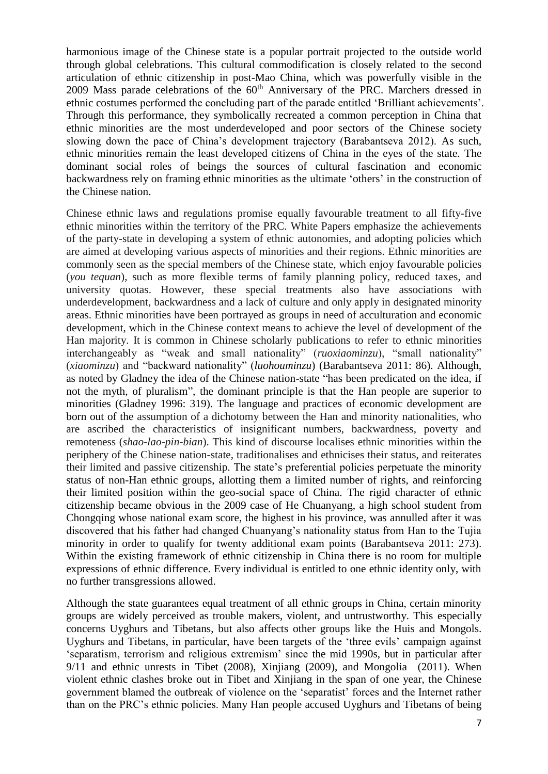harmonious image of the Chinese state is a popular portrait projected to the outside world through global celebrations. This cultural commodification is closely related to the second articulation of ethnic citizenship in post-Mao China, which was powerfully visible in the  $2009$  Mass parade celebrations of the  $60<sup>th</sup>$  Anniversary of the PRC. Marchers dressed in ethnic costumes performed the concluding part of the parade entitled 'Brilliant achievements'. Through this performance, they symbolically recreated a common perception in China that ethnic minorities are the most underdeveloped and poor sectors of the Chinese society slowing down the pace of China's development trajectory (Barabantseva 2012). As such, ethnic minorities remain the least developed citizens of China in the eyes of the state. The dominant social roles of beings the sources of cultural fascination and economic backwardness rely on framing ethnic minorities as the ultimate 'others' in the construction of the Chinese nation.

Chinese ethnic laws and regulations promise equally favourable treatment to all fifty-five ethnic minorities within the territory of the PRC. White Papers emphasize the achievements of the party-state in developing a system of ethnic autonomies, and adopting policies which are aimed at developing various aspects of minorities and their regions. Ethnic minorities are commonly seen as the special members of the Chinese state, which enjoy favourable policies (*you tequan*), such as more flexible terms of family planning policy, reduced taxes, and university quotas. However, these special treatments also have associations with underdevelopment, backwardness and a lack of culture and only apply in designated minority areas. Ethnic minorities have been portrayed as groups in need of acculturation and economic development, which in the Chinese context means to achieve the level of development of the Han majority. It is common in Chinese scholarly publications to refer to ethnic minorities interchangeably as "weak and small nationality" (*ruoxiaominzu*), "small nationality" (*xiaominzu*) and "backward nationality" (*luohouminzu*) (Barabantseva 2011: 86). Although, as noted by Gladney the idea of the Chinese nation-state "has been predicated on the idea, if not the myth, of pluralism", the dominant principle is that the Han people are superior to minorities (Gladney 1996: 319). The language and practices of economic development are born out of the assumption of a dichotomy between the Han and minority nationalities, who are ascribed the characteristics of insignificant numbers, backwardness, poverty and remoteness (*shao-lao-pin-bian*). This kind of discourse localises ethnic minorities within the periphery of the Chinese nation-state, traditionalises and ethnicises their status, and reiterates their limited and passive citizenship. The state's preferential policies perpetuate the minority status of non-Han ethnic groups, allotting them a limited number of rights, and reinforcing their limited position within the geo-social space of China. The rigid character of ethnic citizenship became obvious in the 2009 case of He Chuanyang, a high school student from Chongqing whose national exam score, the highest in his province, was annulled after it was discovered that his father had changed Chuanyang's nationality status from Han to the Tujia minority in order to qualify for twenty additional exam points (Barabantseva 2011: 273). Within the existing framework of ethnic citizenship in China there is no room for multiple expressions of ethnic difference. Every individual is entitled to one ethnic identity only, with no further transgressions allowed.

Although the state guarantees equal treatment of all ethnic groups in China, certain minority groups are widely perceived as trouble makers, violent, and untrustworthy. This especially concerns Uyghurs and Tibetans, but also affects other groups like the Huis and Mongols. Uyghurs and Tibetans, in particular, have been targets of the 'three evils' campaign against 'separatism, terrorism and religious extremism' since the mid 1990s, but in particular after 9/11 and ethnic unrests in Tibet (2008), Xinjiang (2009), and Mongolia (2011). When violent ethnic clashes broke out in Tibet and Xinjiang in the span of one year, the Chinese government blamed the outbreak of violence on the 'separatist' forces and the Internet rather than on the PRC's ethnic policies. Many Han people accused Uyghurs and Tibetans of being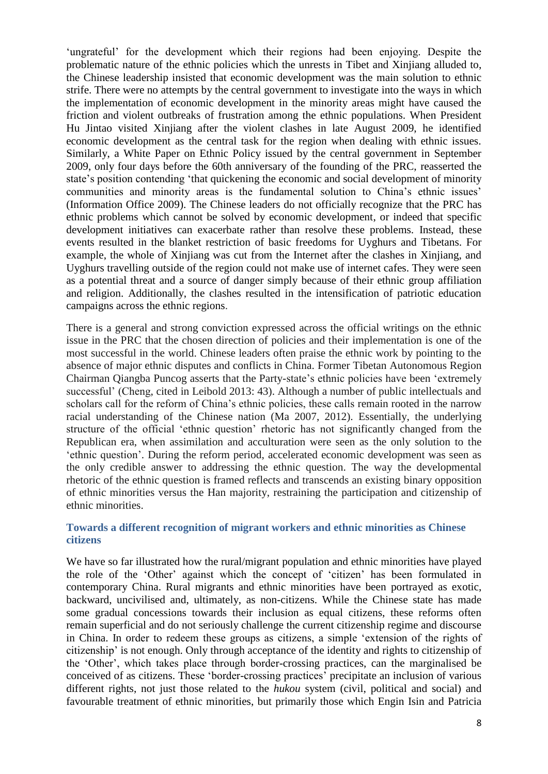'ungrateful' for the development which their regions had been enjoying. Despite the problematic nature of the ethnic policies which the unrests in Tibet and Xinjiang alluded to, the Chinese leadership insisted that economic development was the main solution to ethnic strife. There were no attempts by the central government to investigate into the ways in which the implementation of economic development in the minority areas might have caused the friction and violent outbreaks of frustration among the ethnic populations. When President Hu Jintao visited Xinjiang after the violent clashes in late August 2009, he identified economic development as the central task for the region when dealing with ethnic issues. Similarly, a White Paper on Ethnic Policy issued by the central government in September 2009, only four days before the 60th anniversary of the founding of the PRC, reasserted the state's position contending 'that quickening the economic and social development of minority communities and minority areas is the fundamental solution to China's ethnic issues' (Information Office 2009). The Chinese leaders do not officially recognize that the PRC has ethnic problems which cannot be solved by economic development, or indeed that specific development initiatives can exacerbate rather than resolve these problems. Instead, these events resulted in the blanket restriction of basic freedoms for Uyghurs and Tibetans. For example, the whole of Xinjiang was cut from the Internet after the clashes in Xinjiang, and Uyghurs travelling outside of the region could not make use of internet cafes. They were seen as a potential threat and a source of danger simply because of their ethnic group affiliation and religion. Additionally, the clashes resulted in the intensification of patriotic education campaigns across the ethnic regions.

There is a general and strong conviction expressed across the official writings on the ethnic issue in the PRC that the chosen direction of policies and their implementation is one of the most successful in the world. Chinese leaders often praise the ethnic work by pointing to the absence of major ethnic disputes and conflicts in China. Former Tibetan Autonomous Region Chairman Qiangba Puncog asserts that the Party-state's ethnic policies have been 'extremely successful' (Cheng, cited in Leibold 2013: 43). Although a number of public intellectuals and scholars call for the reform of China's ethnic policies, these calls remain rooted in the narrow racial understanding of the Chinese nation (Ma 2007, 2012). Essentially, the underlying structure of the official 'ethnic question' rhetoric has not significantly changed from the Republican era, when assimilation and acculturation were seen as the only solution to the 'ethnic question'. During the reform period, accelerated economic development was seen as the only credible answer to addressing the ethnic question. The way the developmental rhetoric of the ethnic question is framed reflects and transcends an existing binary opposition of ethnic minorities versus the Han majority, restraining the participation and citizenship of ethnic minorities.

## **Towards a different recognition of migrant workers and ethnic minorities as Chinese citizens**

We have so far illustrated how the rural/migrant population and ethnic minorities have played the role of the 'Other' against which the concept of 'citizen' has been formulated in contemporary China. Rural migrants and ethnic minorities have been portrayed as exotic, backward, uncivilised and, ultimately, as non-citizens. While the Chinese state has made some gradual concessions towards their inclusion as equal citizens, these reforms often remain superficial and do not seriously challenge the current citizenship regime and discourse in China. In order to redeem these groups as citizens, a simple 'extension of the rights of citizenship' is not enough. Only through acceptance of the identity and rights to citizenship of the 'Other', which takes place through border-crossing practices, can the marginalised be conceived of as citizens. These 'border-crossing practices' precipitate an inclusion of various different rights, not just those related to the *hukou* system (civil, political and social) and favourable treatment of ethnic minorities, but primarily those which Engin Isin and Patricia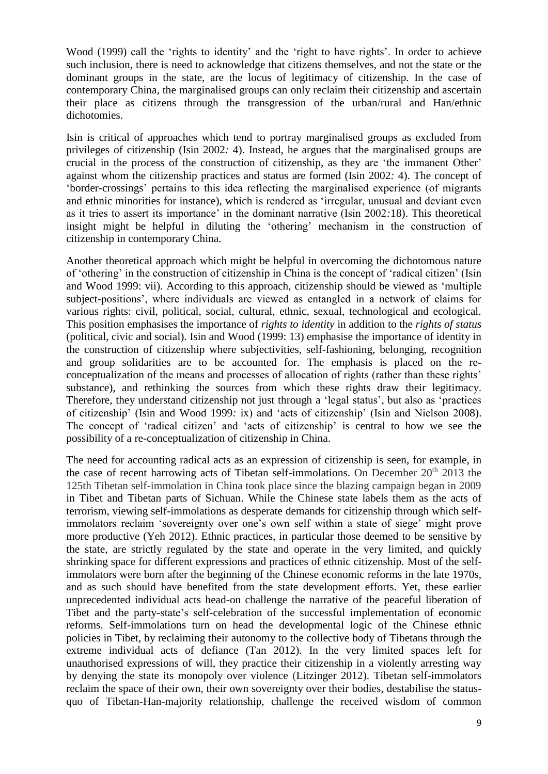Wood (1999) call the 'rights to identity' and the 'right to have rights'. In order to achieve such inclusion, there is need to acknowledge that citizens themselves, and not the state or the dominant groups in the state, are the locus of legitimacy of citizenship. In the case of contemporary China, the marginalised groups can only reclaim their citizenship and ascertain their place as citizens through the transgression of the urban/rural and Han/ethnic dichotomies.

Isin is critical of approaches which tend to portray marginalised groups as excluded from privileges of citizenship (Isin 2002*:* 4). Instead, he argues that the marginalised groups are crucial in the process of the construction of citizenship, as they are 'the immanent Other' against whom the citizenship practices and status are formed (Isin 2002*:* 4). The concept of 'border-crossings' pertains to this idea reflecting the marginalised experience (of migrants and ethnic minorities for instance), which is rendered as 'irregular, unusual and deviant even as it tries to assert its importance' in the dominant narrative (Isin 2002*:*18). This theoretical insight might be helpful in diluting the 'othering' mechanism in the construction of citizenship in contemporary China.

Another theoretical approach which might be helpful in overcoming the dichotomous nature of 'othering' in the construction of citizenship in China is the concept of 'radical citizen' (Isin and Wood 1999: vii). According to this approach, citizenship should be viewed as 'multiple subject-positions', where individuals are viewed as entangled in a network of claims for various rights: civil, political, social, cultural, ethnic, sexual, technological and ecological. This position emphasises the importance of *rights to identity* in addition to the *rights of status* (political, civic and social). Isin and Wood (1999: 13) emphasise the importance of identity in the construction of citizenship where subjectivities, self-fashioning, belonging, recognition and group solidarities are to be accounted for. The emphasis is placed on the reconceptualization of the means and processes of allocation of rights (rather than these rights' substance), and rethinking the sources from which these rights draw their legitimacy. Therefore, they understand citizenship not just through a 'legal status', but also as 'practices of citizenship' (Isin and Wood 1999*:* ix) and 'acts of citizenship' (Isin and Nielson 2008). The concept of 'radical citizen' and 'acts of citizenship' is central to how we see the possibility of a re-conceptualization of citizenship in China.

The need for accounting radical acts as an expression of citizenship is seen, for example, in the case of recent harrowing acts of Tibetan self-immolations. On December 20<sup>th</sup> 2013 the 125th Tibetan self-immolation in China took place since the blazing campaign began in 2009 in Tibet and Tibetan parts of Sichuan. While the Chinese state labels them as the acts of terrorism, viewing self-immolations as desperate demands for citizenship through which selfimmolators reclaim 'sovereignty over one's own self within a state of siege' might prove more productive (Yeh 2012). Ethnic practices, in particular those deemed to be sensitive by the state, are strictly regulated by the state and operate in the very limited, and quickly shrinking space for different expressions and practices of ethnic citizenship. Most of the selfimmolators were born after the beginning of the Chinese economic reforms in the late 1970s, and as such should have benefited from the state development efforts. Yet, these earlier unprecedented individual acts head-on challenge the narrative of the peaceful liberation of Tibet and the party-state's self-celebration of the successful implementation of economic reforms. Self-immolations turn on head the developmental logic of the Chinese ethnic policies in Tibet, by reclaiming their autonomy to the collective body of Tibetans through the extreme individual acts of defiance (Tan 2012). In the very limited spaces left for unauthorised expressions of will, they practice their citizenship in a violently arresting way by denying the state its monopoly over violence (Litzinger 2012). Tibetan self-immolators reclaim the space of their own, their own sovereignty over their bodies, destabilise the statusquo of Tibetan-Han-majority relationship, challenge the received wisdom of common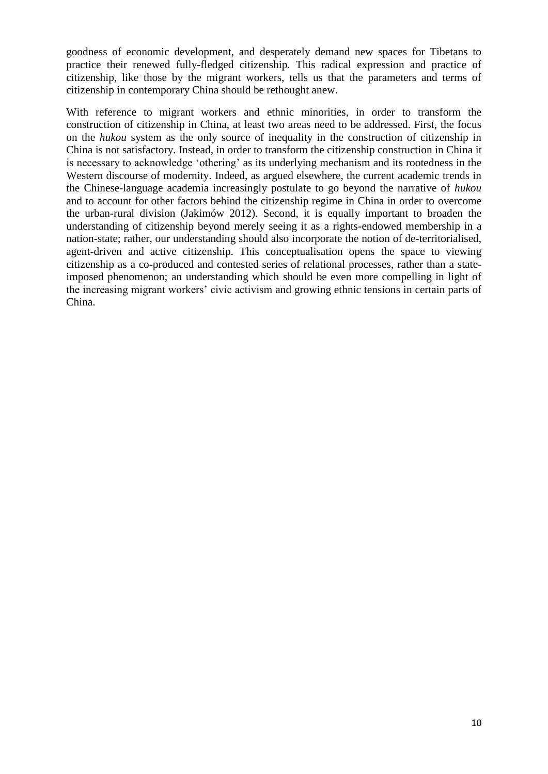goodness of economic development, and desperately demand new spaces for Tibetans to practice their renewed fully-fledged citizenship. This radical expression and practice of citizenship, like those by the migrant workers, tells us that the parameters and terms of citizenship in contemporary China should be rethought anew.

With reference to migrant workers and ethnic minorities, in order to transform the construction of citizenship in China, at least two areas need to be addressed. First, the focus on the *hukou* system as the only source of inequality in the construction of citizenship in China is not satisfactory. Instead, in order to transform the citizenship construction in China it is necessary to acknowledge 'othering' as its underlying mechanism and its rootedness in the Western discourse of modernity. Indeed, as argued elsewhere, the current academic trends in the Chinese-language academia increasingly postulate to go beyond the narrative of *hukou* and to account for other factors behind the citizenship regime in China in order to overcome the urban-rural division (Jakimów 2012). Second, it is equally important to broaden the understanding of citizenship beyond merely seeing it as a rights-endowed membership in a nation-state; rather, our understanding should also incorporate the notion of de-territorialised, agent-driven and active citizenship. This conceptualisation opens the space to viewing citizenship as a co-produced and contested series of relational processes, rather than a stateimposed phenomenon; an understanding which should be even more compelling in light of the increasing migrant workers' civic activism and growing ethnic tensions in certain parts of China.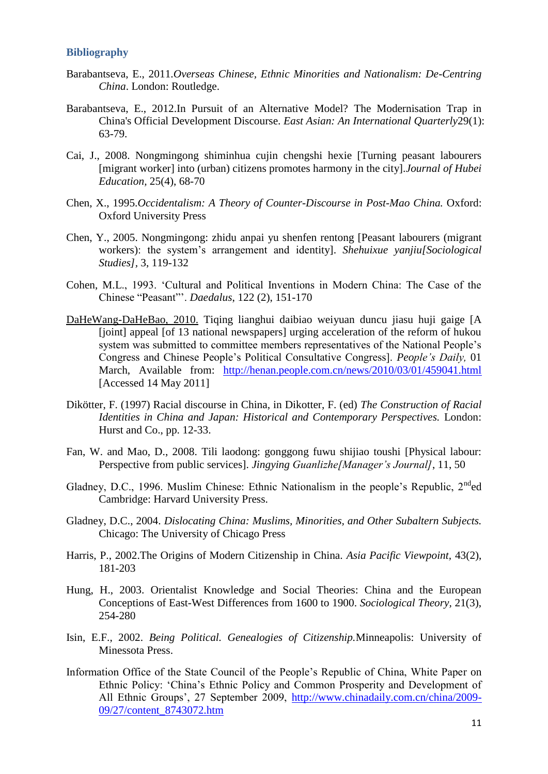### **Bibliography**

- Barabantseva, E., 2011.*Overseas Chinese, Ethnic Minorities and Nationalism: De-Centring China*. London: Routledge.
- Barabantseva, E., 2012.In Pursuit of an Alternative Model? The Modernisation Trap in China's Official Development Discourse. *East Asian: An International Quarterly*29(1): 63-79.
- Cai, J., 2008. Nongmingong shiminhua cujin chengshi hexie [Turning peasant labourers [migrant worker] into (urban) citizens promotes harmony in the city].*Journal of Hubei Education,* 25(4), 68-70
- Chen, X., 1995.*Occidentalism: A Theory of Counter-Discourse in Post-Mao China.* Oxford: Oxford University Press
- Chen, Y., 2005. Nongmingong: zhidu anpai yu shenfen rentong [Peasant labourers (migrant workers): the system's arrangement and identity]. *Shehuixue yanjiu[Sociological Studies],* 3, 119-132
- Cohen, M.L., 1993. 'Cultural and Political Inventions in Modern China: The Case of the Chinese "Peasant"'. *Daedalus*, 122 (2), 151-170
- DaHeWang-DaHeBao, 2010. Tiqing lianghui daibiao weiyuan duncu jiasu huji gaige [A [joint] appeal [of 13 national newspapers] urging acceleration of the reform of hukou system was submitted to committee members representatives of the National People's Congress and Chinese People's Political Consultative Congress]. *People's Daily,* 01 March, Available from: <http://henan.people.com.cn/news/2010/03/01/459041.html> [Accessed 14 May 2011]
- Dikötter, F. (1997) Racial discourse in China, in Dikotter, F. (ed) *The Construction of Racial Identities in China and Japan: Historical and Contemporary Perspectives.* London: Hurst and Co., pp. 12-33.
- Fan, W. and Mao, D., 2008. Tili laodong: gonggong fuwu shijiao toushi [Physical labour: Perspective from public services]. *Jingying Guanlizhe[Manager's Journal]*, 11, 50
- Gladney, D.C., 1996. Muslim Chinese: Ethnic Nationalism in the people's Republic, 2<sup>nd</sup>ed Cambridge: Harvard University Press.
- Gladney, D.C., 2004. *Dislocating China: Muslims, Minorities, and Other Subaltern Subjects.* Chicago: The University of Chicago Press
- Harris, P., 2002.The Origins of Modern Citizenship in China. *Asia Pacific Viewpoint,* 43(2), 181-203
- Hung, H., 2003. Orientalist Knowledge and Social Theories: China and the European Conceptions of East-West Differences from 1600 to 1900. *Sociological Theory,* 21(3), 254-280
- Isin, E.F., 2002. *Being Political. Genealogies of Citizenship.*Minneapolis: University of Minessota Press.
- Information Office of the State Council of the People's Republic of China, White Paper on Ethnic Policy: 'China's Ethnic Policy and Common Prosperity and Development of All Ethnic Groups', 27 September 2009, [http://www.chinadaily.com.cn/china/2009-](http://www.chinadaily.com.cn/china/2009-%2009/27/content_8743072.htm) [09/27/content\\_8743072.htm](http://www.chinadaily.com.cn/china/2009-%2009/27/content_8743072.htm)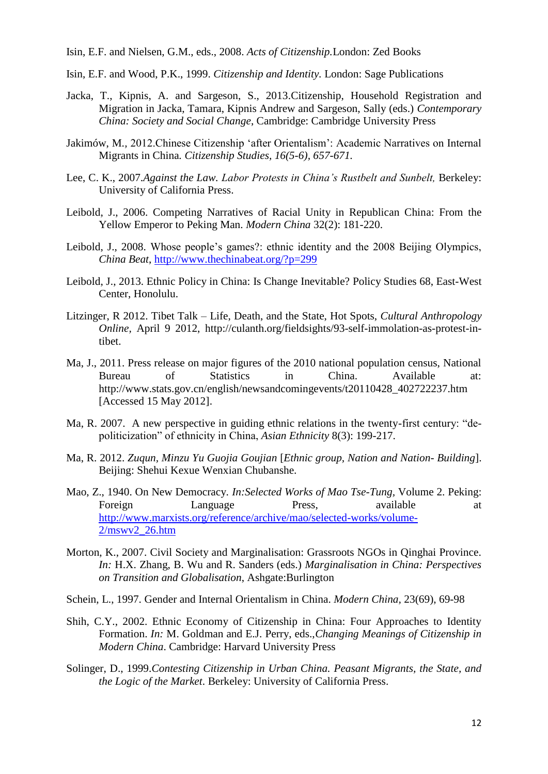Isin, E.F. and Nielsen, G.M., eds., 2008. *Acts of Citizenship.*London: Zed Books

- Isin, E.F. and Wood, P.K., 1999. *Citizenship and Identity.* London: Sage Publications
- Jacka, T., Kipnis, A. and Sargeson, S., 2013.Citizenship, Household Registration and Migration in Jacka, Tamara, Kipnis Andrew and Sargeson, Sally (eds.) *Contemporary China: Society and Social Change*, Cambridge: Cambridge University Press
- Jakimów, M*.,* 2012.Chinese Citizenship 'after Orientalism': Academic Narratives on Internal Migrants in China*. Citizenship Studies, 16(5-6), 657-671.*
- Lee, C. K., 2007.*Against the Law. Labor Protests in China's Rustbelt and Sunbelt,* Berkeley: University of California Press.
- Leibold, J., 2006. Competing Narratives of Racial Unity in Republican China: From the Yellow Emperor to Peking Man. *Modern China* 32(2): 181-220.
- Leibold, J., 2008. Whose people's games?: ethnic identity and the 2008 Beijing Olympics, *China Beat*,<http://www.thechinabeat.org/?p=299>
- Leibold, J., 2013. Ethnic Policy in China: Is Change Inevitable? Policy Studies 68, East-West Center, Honolulu.
- Litzinger, R 2012. Tibet Talk Life, Death, and the State, Hot Spots, *Cultural Anthropology Online,* April 9 2012, http://culanth.org/fieldsights/93-self-immolation-as-protest-intibet.
- Ma, J., 2011. Press release on major figures of the 2010 national population census, National Bureau of Statistics in China. Available at: http://www.stats.gov.cn/english/newsandcomingevents/t20110428\_402722237.htm [Accessed 15 May 2012].
- Ma, R. 2007. A new perspective in guiding ethnic relations in the twenty-first century: "depoliticization" of ethnicity in China, *Asian Ethnicity* 8(3): 199-217.
- Ma, R. 2012. *Zuqun, Minzu Yu Guojia Goujian* [*Ethnic group, Nation and Nation- Building*]. Beijing: Shehui Kexue Wenxian Chubanshe.
- Mao, Z., 1940. On New Democracy*. In:Selected Works of Mao Tse-Tung,* Volume 2. Peking: Foreign Language Press, available at [http://www.marxists.org/reference/archive/mao/selected-works/volume-](http://www.marxists.org/reference/archive/mao/selected-works/volume-2/mswv2_26.htm)[2/mswv2\\_26.htm](http://www.marxists.org/reference/archive/mao/selected-works/volume-2/mswv2_26.htm)
- Morton, K., 2007. Civil Society and Marginalisation: Grassroots NGOs in Qinghai Province. *In:* H.X. Zhang, B. Wu and R. Sanders (eds.) *Marginalisation in China: Perspectives on Transition and Globalisation*, Ashgate:Burlington
- Schein, L., 1997. Gender and Internal Orientalism in China. *Modern China,* 23(69), 69-98
- Shih, C.Y., 2002. Ethnic Economy of Citizenship in China: Four Approaches to Identity Formation. *In:* M. Goldman and E.J. Perry, eds.,*Changing Meanings of Citizenship in Modern China*. Cambridge: Harvard University Press
- Solinger, D., 1999.*Contesting Citizenship in Urban China. Peasant Migrants, the State, and the Logic of the Market*. Berkeley: University of California Press.